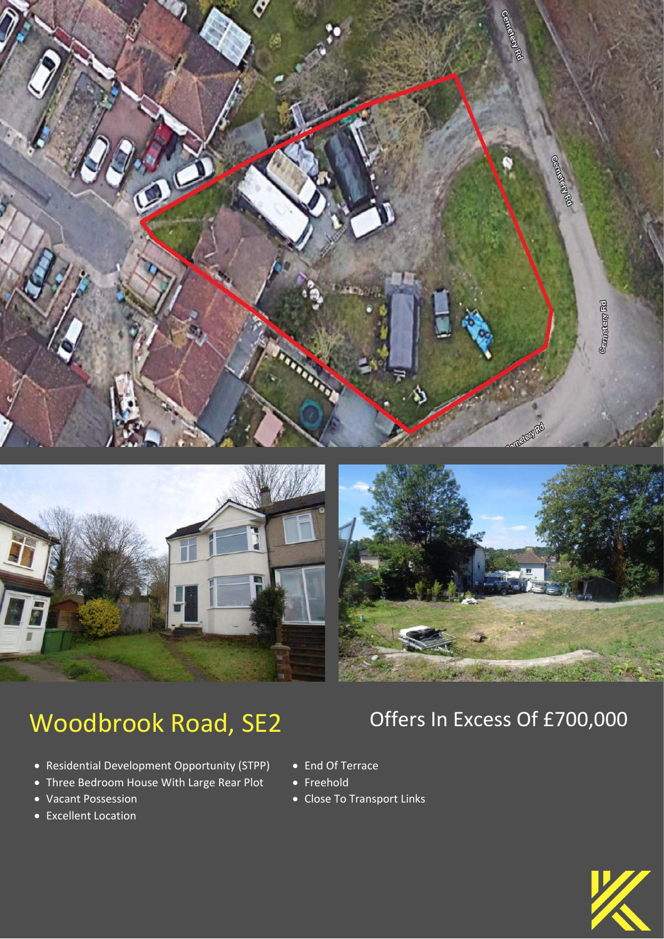

# Woodbrook Road, SE2 Offers In Excess Of £700,000

- Residential Development Opportunity (STPP)
- Three Bedroom House With Large Rear Plot
- Vacant Possession
- Excellent Location

- End Of Terrace
- Freehold
- Close To Transport Links